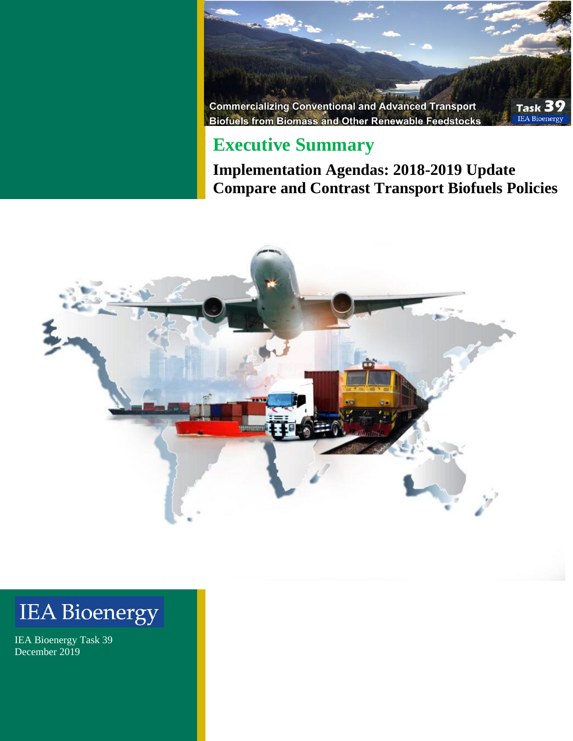

### **Executive Summary**

**Implementation Agendas: 2018-2019 Update Compare and Contrast Transport Biofuels Policies**



# **IEA Bioenergy**

IEA Bioenergy Task 39 December 2019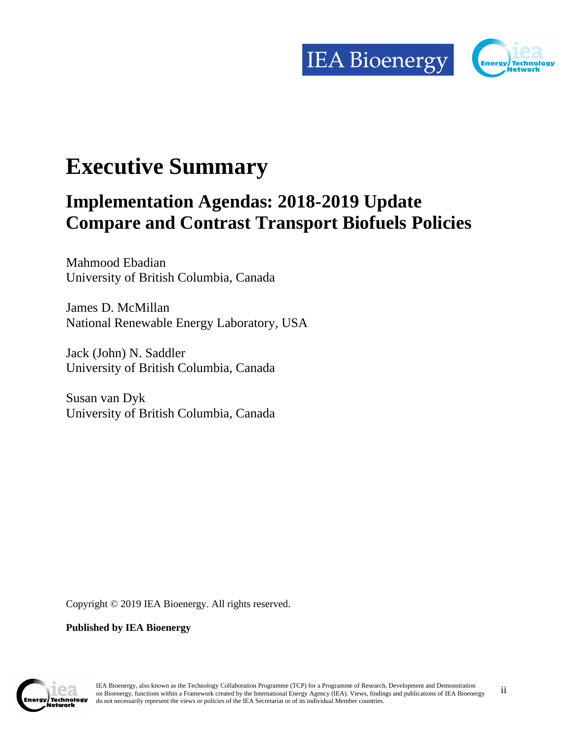

## **Executive Summary**

## **Implementation Agendas: 2018-2019 Update Compare and Contrast Transport Biofuels Policies**

Mahmood Ebadian University of British Columbia, Canada

James D. McMillan National Renewable Energy Laboratory, USA

Jack (John) N. Saddler University of British Columbia, Canada

Susan van Dyk University of British Columbia, Canada

Copyright © 2019 IEA Bioenergy. All rights reserved.

**Published by IEA Bioenergy** 



ii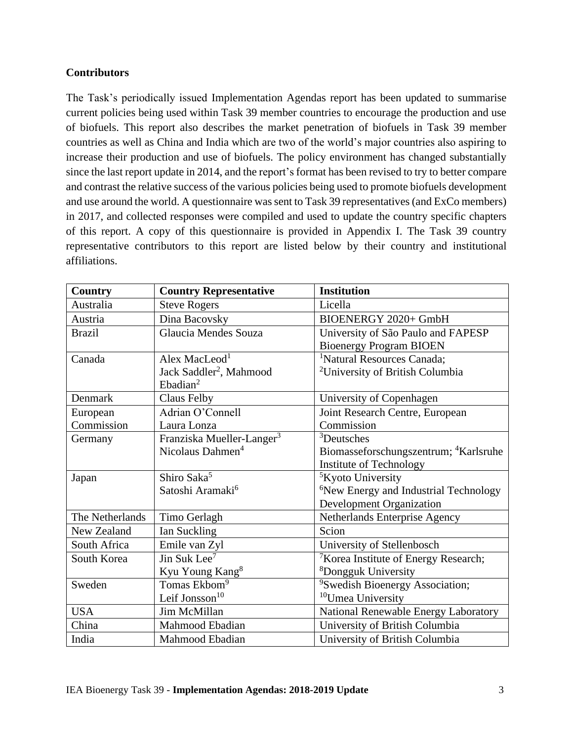#### **Contributors**

The Task's periodically issued Implementation Agendas report has been updated to summarise current policies being used within Task 39 member countries to encourage the production and use of biofuels. This report also describes the market penetration of biofuels in Task 39 member countries as well as China and India which are two of the world's major countries also aspiring to increase their production and use of biofuels. The policy environment has changed substantially since the last report update in 2014, and the report's format has been revised to try to better compare and contrast the relative success of the various policies being used to promote biofuels development and use around the world. A questionnaire was sent to Task 39 representatives (and ExCo members) in 2017, and collected responses were compiled and used to update the country specific chapters of this report. A copy of this questionnaire is provided in Appendix I. The Task 39 country representative contributors to this report are listed below by their country and institutional affiliations.

| <b>Country</b>  | <b>Country Representative</b>         | <b>Institution</b>                                |
|-----------------|---------------------------------------|---------------------------------------------------|
| Australia       | <b>Steve Rogers</b>                   | Licella                                           |
| Austria         | Dina Bacovsky                         | BIOENERGY 2020+ GmbH                              |
| <b>Brazil</b>   | Glaucia Mendes Souza                  | University of São Paulo and FAPESP                |
|                 |                                       | <b>Bioenergy Program BIOEN</b>                    |
| Canada          | Alex MacLeod <sup>1</sup>             | <sup>1</sup> Natural Resources Canada;            |
|                 | Jack Saddler <sup>2</sup> , Mahmood   | <sup>2</sup> University of British Columbia       |
|                 | Ebadian <sup>2</sup>                  |                                                   |
| Denmark         | Claus Felby                           | University of Copenhagen                          |
| European        | Adrian O'Connell                      | Joint Research Centre, European                   |
| Commission      | Laura Lonza                           | Commission                                        |
| Germany         | Franziska Mueller-Langer <sup>3</sup> | <sup>3</sup> Deutsches                            |
|                 | Nicolaus Dahmen <sup>4</sup>          | Biomasseforschungszentrum; <sup>4</sup> Karlsruhe |
|                 |                                       | Institute of Technology                           |
| Japan           | Shiro Saka <sup>5</sup>               | <sup>5</sup> Kyoto University                     |
|                 | Satoshi Aramaki <sup>6</sup>          | <sup>6</sup> New Energy and Industrial Technology |
|                 |                                       | <b>Development Organization</b>                   |
| The Netherlands | Timo Gerlagh                          | Netherlands Enterprise Agency                     |
| New Zealand     | Ian Suckling                          | Scion                                             |
| South Africa    | Emile van Zyl                         | University of Stellenbosch                        |
| South Korea     | $\overline{\text{Jin Suk Lee}^7}$     | <sup>7</sup> Korea Institute of Energy Research;  |
|                 | Kyu Young Kang <sup>8</sup>           | <sup>8</sup> Dongguk University                   |
| Sweden          | Tomas Ekbom <sup>9</sup>              | <sup>9</sup> Swedish Bioenergy Association;       |
|                 | Leif Jonsson $10$                     | <sup>10</sup> Umea University                     |
| <b>USA</b>      | Jim McMillan                          | National Renewable Energy Laboratory              |
| China           | Mahmood Ebadian                       | University of British Columbia                    |
| India           | Mahmood Ebadian                       | University of British Columbia                    |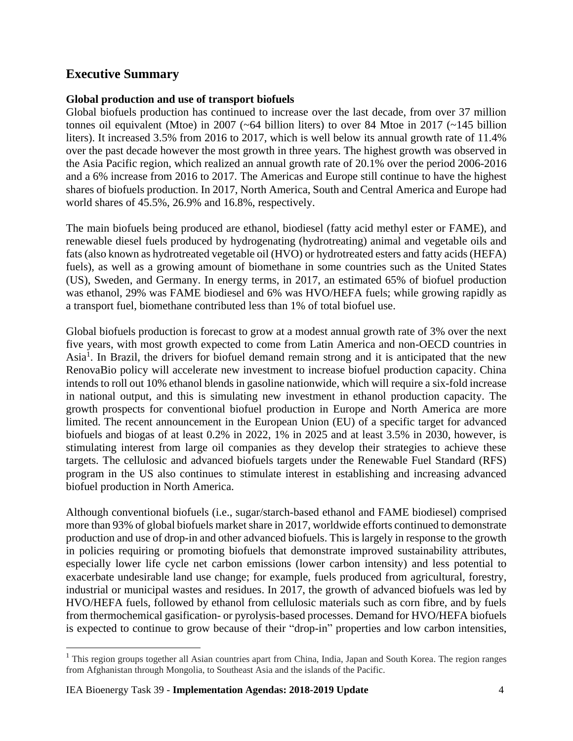### **Executive Summary**

#### **Global production and use of transport biofuels**

Global biofuels production has continued to increase over the last decade, from over 37 million tonnes oil equivalent (Mtoe) in 2007 ( $\sim$  64 billion liters) to over 84 Mtoe in 2017 ( $\sim$  145 billion liters). It increased 3.5% from 2016 to 2017, which is well below its annual growth rate of 11.4% over the past decade however the most growth in three years. The highest growth was observed in the Asia Pacific region, which realized an annual growth rate of 20.1% over the period 2006-2016 and a 6% increase from 2016 to 2017. The Americas and Europe still continue to have the highest shares of biofuels production. In 2017, North America, South and Central America and Europe had world shares of 45.5%, 26.9% and 16.8%, respectively.

The main biofuels being produced are ethanol, biodiesel (fatty acid methyl ester or FAME), and renewable diesel fuels produced by hydrogenating (hydrotreating) animal and vegetable oils and fats (also known as hydrotreated vegetable oil (HVO) or hydrotreated esters and fatty acids (HEFA) fuels), as well as a growing amount of biomethane in some countries such as the United States (US), Sweden, and Germany. In energy terms, in 2017, an estimated 65% of biofuel production was ethanol, 29% was FAME biodiesel and 6% was HVO/HEFA fuels; while growing rapidly as a transport fuel, biomethane contributed less than 1% of total biofuel use.

Global biofuels production is forecast to grow at a modest annual growth rate of 3% over the next five years, with most growth expected to come from Latin America and non-OECD countries in Asia<sup>1</sup>. In Brazil, the drivers for biofuel demand remain strong and it is anticipated that the new RenovaBio policy will accelerate new investment to increase biofuel production capacity. China intends to roll out 10% ethanol blends in gasoline nationwide, which will require a six-fold increase in national output, and this is simulating new investment in ethanol production capacity. The growth prospects for conventional biofuel production in Europe and North America are more limited. The recent announcement in the European Union (EU) of a specific target for advanced biofuels and biogas of at least 0.2% in 2022, 1% in 2025 and at least 3.5% in 2030, however, is stimulating interest from large oil companies as they develop their strategies to achieve these targets. The cellulosic and advanced biofuels targets under the Renewable Fuel Standard (RFS) program in the US also continues to stimulate interest in establishing and increasing advanced biofuel production in North America.

Although conventional biofuels (i.e., sugar/starch-based ethanol and FAME biodiesel) comprised more than 93% of global biofuels market share in 2017, worldwide efforts continued to demonstrate production and use of drop-in and other advanced biofuels. This is largely in response to the growth in policies requiring or promoting biofuels that demonstrate improved sustainability attributes, especially lower life cycle net carbon emissions (lower carbon intensity) and less potential to exacerbate undesirable land use change; for example, fuels produced from agricultural, forestry, industrial or municipal wastes and residues. In 2017, the growth of advanced biofuels was led by HVO/HEFA fuels, followed by ethanol from cellulosic materials such as corn fibre, and by fuels from thermochemical gasification- or pyrolysis-based processes. Demand for HVO/HEFA biofuels is expected to continue to grow because of their "drop-in" properties and low carbon intensities,

<sup>&</sup>lt;sup>1</sup> This region groups together all Asian countries apart from China, India, Japan and South Korea. The region ranges from Afghanistan through Mongolia, to Southeast Asia and the islands of the Pacific.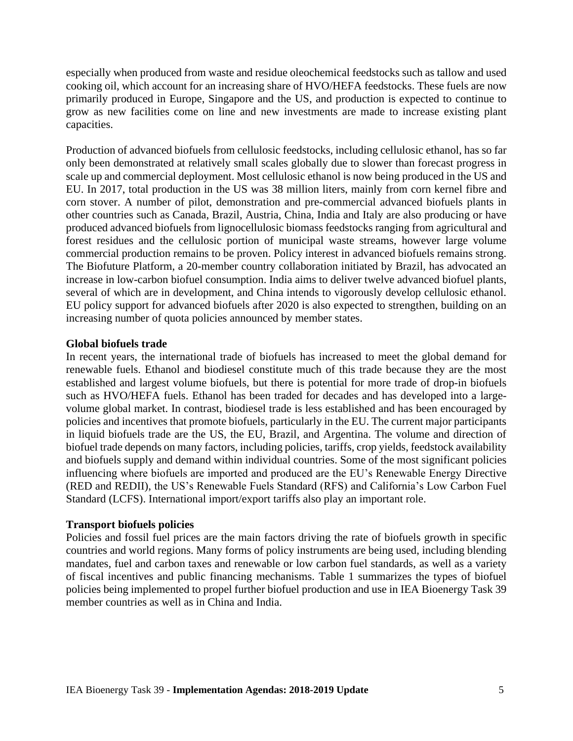especially when produced from waste and residue oleochemical feedstocks such as tallow and used cooking oil, which account for an increasing share of HVO/HEFA feedstocks. These fuels are now primarily produced in Europe, Singapore and the US, and production is expected to continue to grow as new facilities come on line and new investments are made to increase existing plant capacities.

Production of advanced biofuels from cellulosic feedstocks, including cellulosic ethanol, has so far only been demonstrated at relatively small scales globally due to slower than forecast progress in scale up and commercial deployment. Most cellulosic ethanol is now being produced in the US and EU. In 2017, total production in the US was 38 million liters, mainly from corn kernel fibre and corn stover. A number of pilot, demonstration and pre-commercial advanced biofuels plants in other countries such as Canada, Brazil, Austria, China, India and Italy are also producing or have produced advanced biofuels from lignocellulosic biomass feedstocks ranging from agricultural and forest residues and the cellulosic portion of municipal waste streams, however large volume commercial production remains to be proven. Policy interest in advanced biofuels remains strong. The Biofuture Platform, a 20-member country collaboration initiated by Brazil, has advocated an increase in low-carbon biofuel consumption. India aims to deliver twelve advanced biofuel plants, several of which are in development, and China intends to vigorously develop cellulosic ethanol. EU policy support for advanced biofuels after 2020 is also expected to strengthen, building on an increasing number of quota policies announced by member states.

#### **Global biofuels trade**

In recent years, the international trade of biofuels has increased to meet the global demand for renewable fuels. Ethanol and biodiesel constitute much of this trade because they are the most established and largest volume biofuels, but there is potential for more trade of drop-in biofuels such as HVO/HEFA fuels. Ethanol has been traded for decades and has developed into a largevolume global market. In contrast, biodiesel trade is less established and has been encouraged by policies and incentives that promote biofuels, particularly in the EU. The current major participants in liquid biofuels trade are the US, the EU, Brazil, and Argentina. The volume and direction of biofuel trade depends on many factors, including policies, tariffs, crop yields, feedstock availability and biofuels supply and demand within individual countries. Some of the most significant policies influencing where biofuels are imported and produced are the EU's Renewable Energy Directive (RED and REDII), the US's Renewable Fuels Standard (RFS) and California's Low Carbon Fuel Standard (LCFS). International import/export tariffs also play an important role.

#### **Transport biofuels policies**

Policies and fossil fuel prices are the main factors driving the rate of biofuels growth in specific countries and world regions. Many forms of policy instruments are being used, including blending mandates, fuel and carbon taxes and renewable or low carbon fuel standards, as well as a variety of fiscal incentives and public financing mechanisms. Table 1 summarizes the types of biofuel policies being implemented to propel further biofuel production and use in IEA Bioenergy Task 39 member countries as well as in China and India.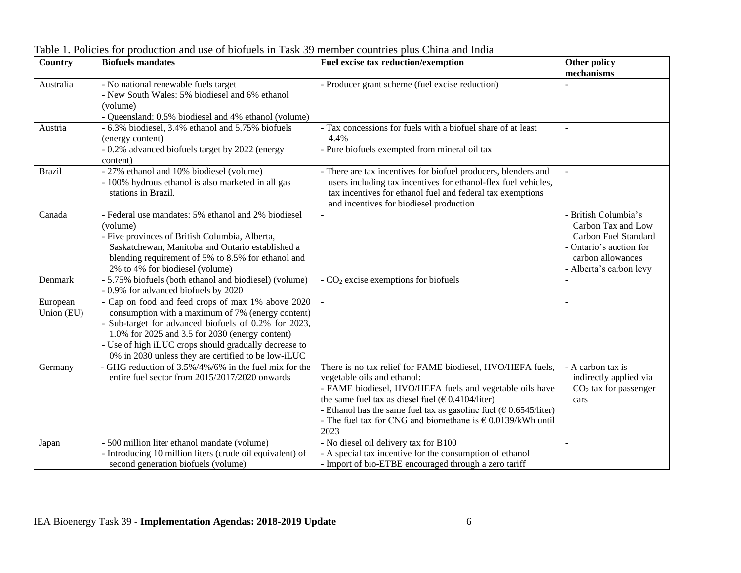| Country       | <b>Biofuels mandates</b>                                                                                   | Fuel excise tax reduction/exemption                                                       | <b>Other policy</b>                         |
|---------------|------------------------------------------------------------------------------------------------------------|-------------------------------------------------------------------------------------------|---------------------------------------------|
|               |                                                                                                            |                                                                                           | mechanisms                                  |
| Australia     | - No national renewable fuels target<br>- New South Wales: 5% biodiesel and 6% ethanol                     | - Producer grant scheme (fuel excise reduction)                                           |                                             |
|               | (volume)                                                                                                   |                                                                                           |                                             |
|               | - Queensland: 0.5% biodiesel and 4% ethanol (volume)                                                       |                                                                                           |                                             |
| Austria       | - 6.3% biodiesel, 3.4% ethanol and 5.75% biofuels                                                          | - Tax concessions for fuels with a biofuel share of at least                              |                                             |
|               | (energy content)                                                                                           | 4.4%                                                                                      |                                             |
|               | - 0.2% advanced biofuels target by 2022 (energy                                                            | - Pure biofuels exempted from mineral oil tax                                             |                                             |
|               | content)                                                                                                   |                                                                                           |                                             |
| <b>Brazil</b> | - 27% ethanol and 10% biodiesel (volume)                                                                   | - There are tax incentives for biofuel producers, blenders and                            |                                             |
|               | - 100% hydrous ethanol is also marketed in all gas                                                         | users including tax incentives for ethanol-flex fuel vehicles,                            |                                             |
|               | stations in Brazil.                                                                                        | tax incentives for ethanol fuel and federal tax exemptions                                |                                             |
|               |                                                                                                            | and incentives for biodiesel production                                                   |                                             |
| Canada        | - Federal use mandates: 5% ethanol and 2% biodiesel                                                        |                                                                                           | - British Columbia's                        |
|               | (volume)<br>- Five provinces of British Columbia, Alberta,                                                 |                                                                                           | Carbon Tax and Low<br>Carbon Fuel Standard  |
|               | Saskatchewan, Manitoba and Ontario established a                                                           |                                                                                           | - Ontario's auction for                     |
|               | blending requirement of 5% to 8.5% for ethanol and                                                         |                                                                                           | carbon allowances                           |
|               | 2% to 4% for biodiesel (volume)                                                                            |                                                                                           | - Alberta's carbon levy                     |
| Denmark       | - 5.75% biofuels (both ethanol and biodiesel) (volume)                                                     | $-CO2$ excise exemptions for biofuels                                                     |                                             |
|               | - 0.9% for advanced biofuels by 2020                                                                       |                                                                                           |                                             |
| European      | - Cap on food and feed crops of max 1% above 2020                                                          | $\overline{a}$                                                                            |                                             |
| Union (EU)    | consumption with a maximum of 7% (energy content)                                                          |                                                                                           |                                             |
|               | - Sub-target for advanced biofuels of 0.2% for 2023,                                                       |                                                                                           |                                             |
|               | 1.0% for 2025 and 3.5 for 2030 (energy content)                                                            |                                                                                           |                                             |
|               | - Use of high iLUC crops should gradually decrease to                                                      |                                                                                           |                                             |
|               | 0% in 2030 unless they are certified to be low-iLUC<br>GHG reduction of 3.5%/4%/6% in the fuel mix for the |                                                                                           |                                             |
| Germany       | entire fuel sector from 2015/2017/2020 onwards                                                             | There is no tax relief for FAME biodiesel, HVO/HEFA fuels,<br>vegetable oils and ethanol: | - A carbon tax is<br>indirectly applied via |
|               |                                                                                                            | - FAME biodiesel, HVO/HEFA fuels and vegetable oils have                                  | $CO2$ tax for passenger                     |
|               |                                                                                                            | the same fuel tax as diesel fuel ( $\epsilon$ 0.4104/liter)                               | cars                                        |
|               |                                                                                                            | - Ethanol has the same fuel tax as gasoline fuel ( $\epsilon$ 0.6545/liter)               |                                             |
|               |                                                                                                            | - The fuel tax for CNG and biomethane is $\epsilon$ 0.0139/kWh until                      |                                             |
|               |                                                                                                            | 2023                                                                                      |                                             |
| Japan         | - 500 million liter ethanol mandate (volume)                                                               | - No diesel oil delivery tax for B100                                                     |                                             |
|               | - Introducing 10 million liters (crude oil equivalent) of                                                  | - A special tax incentive for the consumption of ethanol                                  |                                             |
|               | second generation biofuels (volume)                                                                        | - Import of bio-ETBE encouraged through a zero tariff                                     |                                             |

Table 1. Policies for production and use of biofuels in Task 39 member countries plus China and India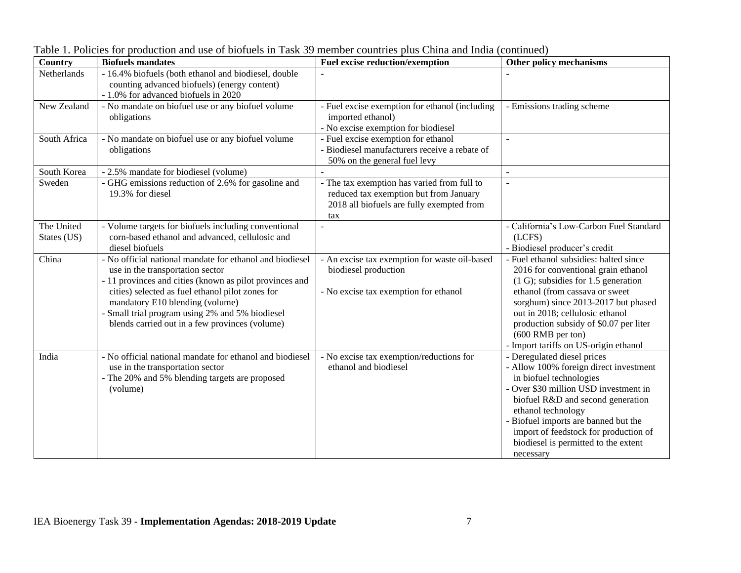| <b>Country</b>            | <b>Biofuels mandates</b>                                                                                                                                                                                                                                                                                                                            | <b>Fuel excise reduction/exemption</b>                                                                                                    | Other policy mechanisms                                                                                                                                                                                                                                                                                                                       |
|---------------------------|-----------------------------------------------------------------------------------------------------------------------------------------------------------------------------------------------------------------------------------------------------------------------------------------------------------------------------------------------------|-------------------------------------------------------------------------------------------------------------------------------------------|-----------------------------------------------------------------------------------------------------------------------------------------------------------------------------------------------------------------------------------------------------------------------------------------------------------------------------------------------|
| Netherlands               | - 16.4% biofuels (both ethanol and biodiesel, double<br>counting advanced biofuels) (energy content)<br>- 1.0% for advanced biofuels in 2020                                                                                                                                                                                                        |                                                                                                                                           |                                                                                                                                                                                                                                                                                                                                               |
| New Zealand               | - No mandate on biofuel use or any biofuel volume<br>obligations                                                                                                                                                                                                                                                                                    | - Fuel excise exemption for ethanol (including<br>imported ethanol)<br>- No excise exemption for biodiesel                                | - Emissions trading scheme                                                                                                                                                                                                                                                                                                                    |
| South Africa              | - No mandate on biofuel use or any biofuel volume<br>obligations                                                                                                                                                                                                                                                                                    | - Fuel excise exemption for ethanol<br>- Biodiesel manufacturers receive a rebate of<br>50% on the general fuel levy                      | $\overline{a}$                                                                                                                                                                                                                                                                                                                                |
| South Korea               | - 2.5% mandate for biodiesel (volume)                                                                                                                                                                                                                                                                                                               |                                                                                                                                           | $\sim$                                                                                                                                                                                                                                                                                                                                        |
| Sweden                    | - GHG emissions reduction of 2.6% for gasoline and<br>19.3% for diesel                                                                                                                                                                                                                                                                              | - The tax exemption has varied from full to<br>reduced tax exemption but from January<br>2018 all biofuels are fully exempted from<br>tax | $\overline{a}$                                                                                                                                                                                                                                                                                                                                |
| The United<br>States (US) | - Volume targets for biofuels including conventional<br>corn-based ethanol and advanced, cellulosic and<br>diesel biofuels                                                                                                                                                                                                                          |                                                                                                                                           | - California's Low-Carbon Fuel Standard<br>(LCFS)<br>- Biodiesel producer's credit                                                                                                                                                                                                                                                            |
| China                     | - No official national mandate for ethanol and biodiesel<br>use in the transportation sector<br>- 11 provinces and cities (known as pilot provinces and<br>cities) selected as fuel ethanol pilot zones for<br>mandatory E10 blending (volume)<br>- Small trial program using 2% and 5% biodiesel<br>blends carried out in a few provinces (volume) | - An excise tax exemption for waste oil-based<br>biodiesel production<br>- No excise tax exemption for ethanol                            | - Fuel ethanol subsidies: halted since<br>2016 for conventional grain ethanol<br>$(1 G)$ ; subsidies for 1.5 generation<br>ethanol (from cassava or sweet<br>sorghum) since 2013-2017 but phased<br>out in 2018; cellulosic ethanol<br>production subsidy of \$0.07 per liter<br>$(600$ RMB per ton)<br>- Import tariffs on US-origin ethanol |
| India                     | - No official national mandate for ethanol and biodiesel<br>use in the transportation sector<br>- The 20% and 5% blending targets are proposed<br>(volume)                                                                                                                                                                                          | - No excise tax exemption/reductions for<br>ethanol and biodiesel                                                                         | - Deregulated diesel prices<br>- Allow 100% foreign direct investment<br>in biofuel technologies<br>- Over \$30 million USD investment in<br>biofuel R&D and second generation<br>ethanol technology<br>- Biofuel imports are banned but the<br>import of feedstock for production of<br>biodiesel is permitted to the extent<br>necessary    |

Table 1. Policies for production and use of biofuels in Task 39 member countries plus China and India (continued)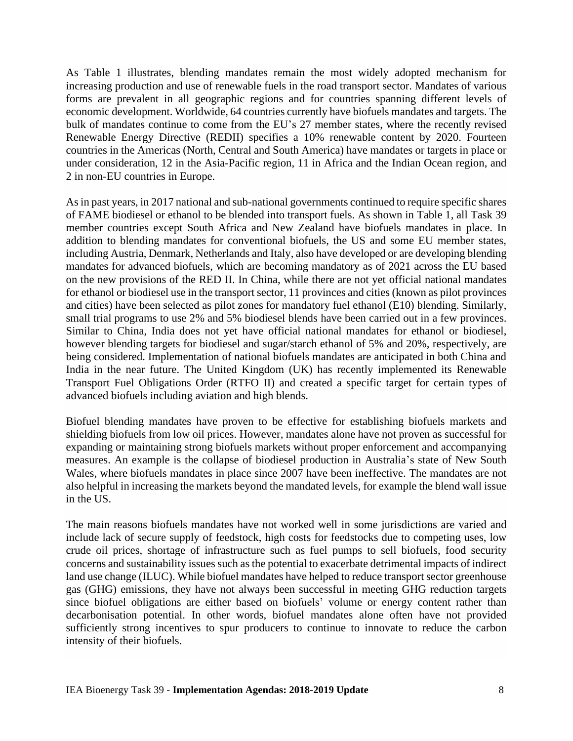As Table 1 illustrates, blending mandates remain the most widely adopted mechanism for increasing production and use of renewable fuels in the road transport sector. Mandates of various forms are prevalent in all geographic regions and for countries spanning different levels of economic development. Worldwide, 64 countries currently have biofuels mandates and targets. The bulk of mandates continue to come from the EU's 27 member states, where the recently revised Renewable Energy Directive (REDII) specifies a 10% renewable content by 2020. Fourteen countries in the Americas (North, Central and South America) have mandates or targets in place or under consideration, 12 in the Asia-Pacific region, 11 in Africa and the Indian Ocean region, and 2 in non-EU countries in Europe.

As in past years, in 2017 national and sub-national governments continued to require specific shares of FAME biodiesel or ethanol to be blended into transport fuels. As shown in Table 1, all Task 39 member countries except South Africa and New Zealand have biofuels mandates in place. In addition to blending mandates for conventional biofuels, the US and some EU member states, including Austria, Denmark, Netherlands and Italy, also have developed or are developing blending mandates for advanced biofuels, which are becoming mandatory as of 2021 across the EU based on the new provisions of the RED II. In China, while there are not yet official national mandates for ethanol or biodiesel use in the transport sector, 11 provinces and cities (known as pilot provinces and cities) have been selected as pilot zones for mandatory fuel ethanol (E10) blending. Similarly, small trial programs to use 2% and 5% biodiesel blends have been carried out in a few provinces. Similar to China, India does not yet have official national mandates for ethanol or biodiesel, however blending targets for biodiesel and sugar/starch ethanol of 5% and 20%, respectively, are being considered. Implementation of national biofuels mandates are anticipated in both China and India in the near future. The United Kingdom (UK) has recently implemented its Renewable Transport Fuel Obligations Order (RTFO II) and created a specific target for certain types of advanced biofuels including aviation and high blends.

Biofuel blending mandates have proven to be effective for establishing biofuels markets and shielding biofuels from low oil prices. However, mandates alone have not proven as successful for expanding or maintaining strong biofuels markets without proper enforcement and accompanying measures. An example is the collapse of biodiesel production in Australia's state of New South Wales, where biofuels mandates in place since 2007 have been ineffective. The mandates are not also helpful in increasing the markets beyond the mandated levels, for example the blend wall issue in the US.

The main reasons biofuels mandates have not worked well in some jurisdictions are varied and include lack of secure supply of feedstock, high costs for feedstocks due to competing uses, low crude oil prices, shortage of infrastructure such as fuel pumps to sell biofuels, food security concerns and sustainability issues such as the potential to exacerbate detrimental impacts of indirect land use change (ILUC). While biofuel mandates have helped to reduce transport sector greenhouse gas (GHG) emissions, they have not always been successful in meeting GHG reduction targets since biofuel obligations are either based on biofuels' volume or energy content rather than decarbonisation potential. In other words, biofuel mandates alone often have not provided sufficiently strong incentives to spur producers to continue to innovate to reduce the carbon intensity of their biofuels.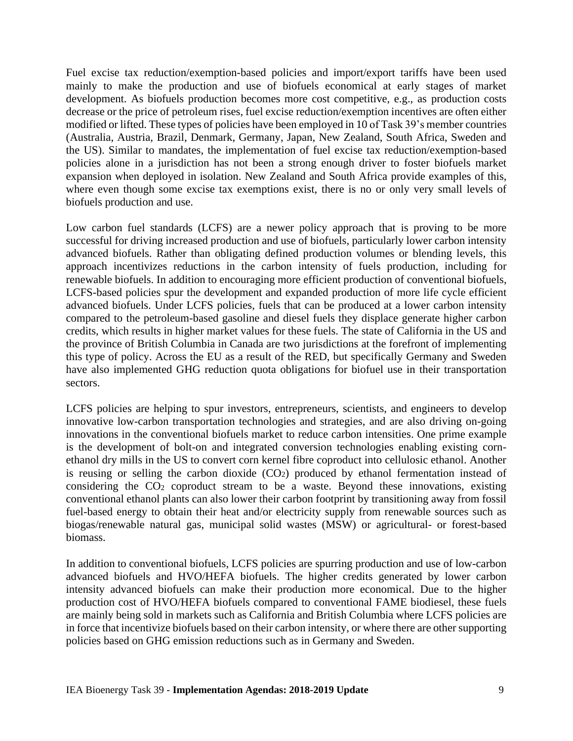Fuel excise tax reduction/exemption-based policies and import/export tariffs have been used mainly to make the production and use of biofuels economical at early stages of market development. As biofuels production becomes more cost competitive, e.g., as production costs decrease or the price of petroleum rises, fuel excise reduction/exemption incentives are often either modified or lifted. These types of policies have been employed in 10 of Task 39's member countries (Australia, Austria, Brazil, Denmark, Germany, Japan, New Zealand, South Africa, Sweden and the US). Similar to mandates, the implementation of fuel excise tax reduction/exemption-based policies alone in a jurisdiction has not been a strong enough driver to foster biofuels market expansion when deployed in isolation. New Zealand and South Africa provide examples of this, where even though some excise tax exemptions exist, there is no or only very small levels of biofuels production and use.

Low carbon fuel standards (LCFS) are a newer policy approach that is proving to be more successful for driving increased production and use of biofuels, particularly lower carbon intensity advanced biofuels. Rather than obligating defined production volumes or blending levels, this approach incentivizes reductions in the carbon intensity of fuels production, including for renewable biofuels. In addition to encouraging more efficient production of conventional biofuels, LCFS-based policies spur the development and expanded production of more life cycle efficient advanced biofuels. Under LCFS policies, fuels that can be produced at a lower carbon intensity compared to the petroleum-based gasoline and diesel fuels they displace generate higher carbon credits, which results in higher market values for these fuels. The state of California in the US and the province of British Columbia in Canada are two jurisdictions at the forefront of implementing this type of policy. Across the EU as a result of the RED, but specifically Germany and Sweden have also implemented GHG reduction quota obligations for biofuel use in their transportation sectors.

LCFS policies are helping to spur investors, entrepreneurs, scientists, and engineers to develop innovative low-carbon transportation technologies and strategies, and are also driving on-going innovations in the conventional biofuels market to reduce carbon intensities. One prime example is the development of bolt-on and integrated conversion technologies enabling existing cornethanol dry mills in the US to convert corn kernel fibre coproduct into cellulosic ethanol. Another is reusing or selling the carbon dioxide  $(CO<sub>2</sub>)$  produced by ethanol fermentation instead of considering the  $CO<sub>2</sub>$  coproduct stream to be a waste. Beyond these innovations, existing conventional ethanol plants can also lower their carbon footprint by transitioning away from fossil fuel-based energy to obtain their heat and/or electricity supply from renewable sources such as biogas/renewable natural gas, municipal solid wastes (MSW) or agricultural- or forest-based biomass.

In addition to conventional biofuels, LCFS policies are spurring production and use of low-carbon advanced biofuels and HVO/HEFA biofuels. The higher credits generated by lower carbon intensity advanced biofuels can make their production more economical. Due to the higher production cost of HVO/HEFA biofuels compared to conventional FAME biodiesel, these fuels are mainly being sold in markets such as California and British Columbia where LCFS policies are in force that incentivize biofuels based on their carbon intensity, or where there are other supporting policies based on GHG emission reductions such as in Germany and Sweden.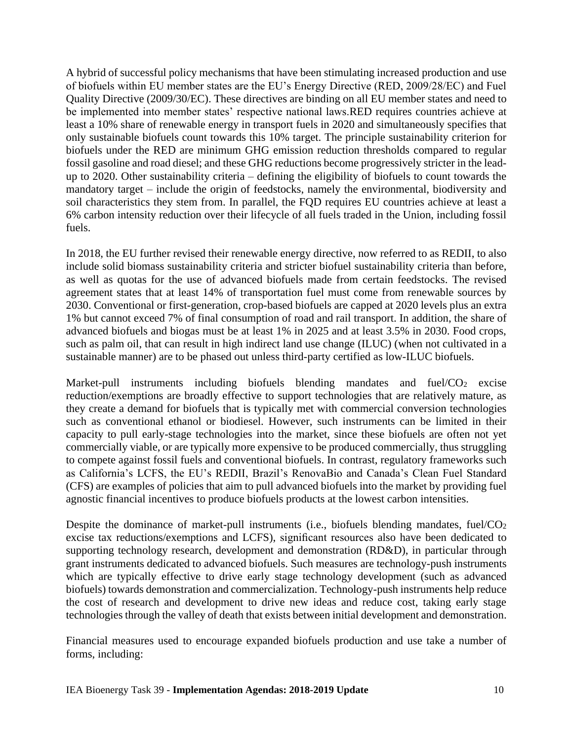A hybrid of successful policy mechanisms that have been stimulating increased production and use of biofuels within EU member states are the EU's Energy Directive (RED, 2009/28/EC) and Fuel Quality Directive (2009/30/EC). These directives are binding on all EU member states and need to be implemented into member states' respective national laws.RED requires countries achieve at least a 10% share of renewable energy in transport fuels in 2020 and simultaneously specifies that only sustainable biofuels count towards this 10% target. The principle sustainability criterion for biofuels under the RED are minimum GHG emission reduction thresholds compared to regular fossil gasoline and road diesel; and these GHG reductions become progressively stricter in the leadup to 2020. Other sustainability criteria – defining the eligibility of biofuels to count towards the mandatory target – include the origin of feedstocks, namely the environmental, biodiversity and soil characteristics they stem from. In parallel, the FQD requires EU countries achieve at least a 6% carbon intensity reduction over their lifecycle of all fuels traded in the Union, including fossil fuels.

In 2018, the EU further revised their renewable energy directive, now referred to as REDII, to also include solid biomass sustainability criteria and stricter biofuel sustainability criteria than before, as well as quotas for the use of advanced biofuels made from certain feedstocks. The revised agreement states that at least 14% of transportation fuel must come from renewable sources by 2030. Conventional or first-generation, crop-based biofuels are capped at 2020 levels plus an extra 1% but cannot exceed 7% of final consumption of road and rail transport. In addition, the share of advanced biofuels and biogas must be at least 1% in 2025 and at least 3.5% in 2030. Food crops, such as palm oil, that can result in high indirect land use change (ILUC) (when not cultivated in a sustainable manner) are to be phased out unless third-party certified as low-ILUC biofuels.

Market-pull instruments including biofuels blending mandates and fuel/CO<sub>2</sub> excise reduction/exemptions are broadly effective to support technologies that are relatively mature, as they create a demand for biofuels that is typically met with commercial conversion technologies such as conventional ethanol or biodiesel. However, such instruments can be limited in their capacity to pull early-stage technologies into the market, since these biofuels are often not yet commercially viable, or are typically more expensive to be produced commercially, thus struggling to compete against fossil fuels and conventional biofuels. In contrast, regulatory frameworks such as California's LCFS, the EU's REDII, Brazil's RenovaBio and Canada's Clean Fuel Standard (CFS) are examples of policies that aim to pull advanced biofuels into the market by providing fuel agnostic financial incentives to produce biofuels products at the lowest carbon intensities.

Despite the dominance of market-pull instruments (i.e., biofuels blending mandates, fuel/CO<sub>2</sub> excise tax reductions/exemptions and LCFS), significant resources also have been dedicated to supporting technology research, development and demonstration (RD&D), in particular through grant instruments dedicated to advanced biofuels. Such measures are technology-push instruments which are typically effective to drive early stage technology development (such as advanced biofuels) towards demonstration and commercialization. Technology-push instruments help reduce the cost of research and development to drive new ideas and reduce cost, taking early stage technologies through the valley of death that exists between initial development and demonstration.

Financial measures used to encourage expanded biofuels production and use take a number of forms, including: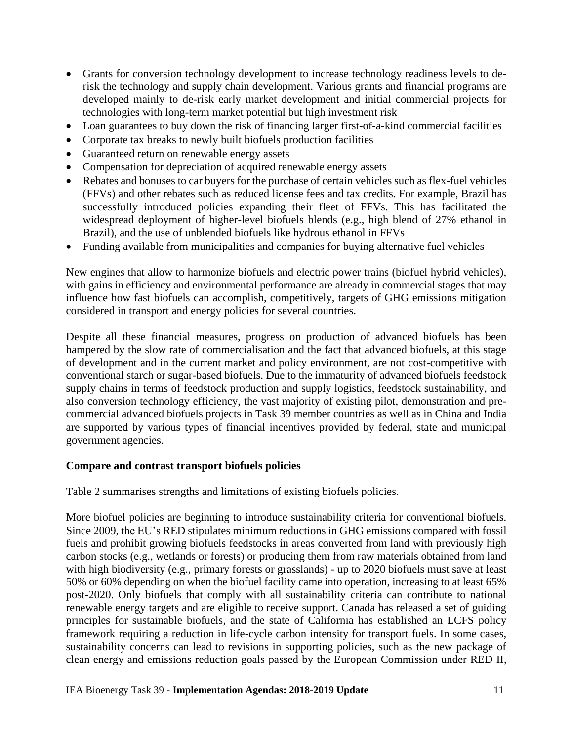- Grants for conversion technology development to increase technology readiness levels to derisk the technology and supply chain development. Various grants and financial programs are developed mainly to de-risk early market development and initial commercial projects for technologies with long-term market potential but high investment risk
- Loan guarantees to buy down the risk of financing larger first-of-a-kind commercial facilities
- Corporate tax breaks to newly built biofuels production facilities
- Guaranteed return on renewable energy assets
- Compensation for depreciation of acquired renewable energy assets
- Rebates and bonuses to car buyers for the purchase of certain vehicles such as flex-fuel vehicles (FFVs) and other rebates such as reduced license fees and tax credits. For example, Brazil has successfully introduced policies expanding their fleet of FFVs. This has facilitated the widespread deployment of higher-level biofuels blends (e.g., high blend of 27% ethanol in Brazil), and the use of unblended biofuels like hydrous ethanol in FFVs
- Funding available from municipalities and companies for buying alternative fuel vehicles

New engines that allow to harmonize biofuels and electric power trains (biofuel hybrid vehicles), with gains in efficiency and environmental performance are already in commercial stages that may influence how fast biofuels can accomplish, competitively, targets of GHG emissions mitigation considered in transport and energy policies for several countries.

Despite all these financial measures, progress on production of advanced biofuels has been hampered by the slow rate of commercialisation and the fact that advanced biofuels, at this stage of development and in the current market and policy environment, are not cost-competitive with conventional starch or sugar-based biofuels. Due to the immaturity of advanced biofuels feedstock supply chains in terms of feedstock production and supply logistics, feedstock sustainability, and also conversion technology efficiency, the vast majority of existing pilot, demonstration and precommercial advanced biofuels projects in Task 39 member countries as well as in China and India are supported by various types of financial incentives provided by federal, state and municipal government agencies.

#### **Compare and contrast transport biofuels policies**

Table 2 summarises strengths and limitations of existing biofuels policies.

More biofuel policies are beginning to introduce sustainability criteria for conventional biofuels. Since 2009, the EU's RED stipulates minimum reductions in GHG emissions compared with fossil fuels and prohibit growing biofuels feedstocks in areas converted from land with previously high carbon stocks (e.g., wetlands or forests) or producing them from raw materials obtained from land with high biodiversity (e.g., primary forests or grasslands) - up to 2020 biofuels must save at least 50% or 60% depending on when the biofuel facility came into operation, increasing to at least 65% post-2020. Only biofuels that comply with all sustainability criteria can contribute to national renewable energy targets and are eligible to receive support. Canada has released a set of guiding principles for sustainable biofuels, and the state of California has established an LCFS policy framework requiring a reduction in life-cycle carbon intensity for transport fuels. In some cases, sustainability concerns can lead to revisions in supporting policies, such as the new package of clean energy and emissions reduction goals passed by the European Commission under RED II,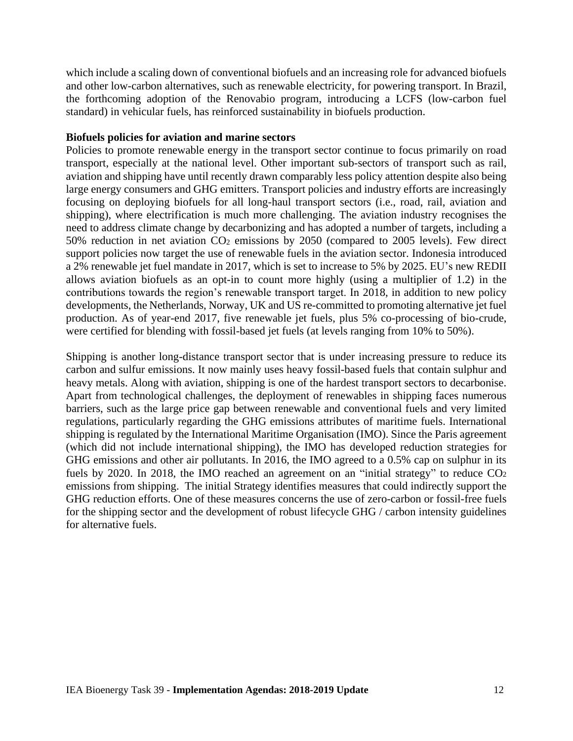which include a scaling down of conventional biofuels and an increasing role for advanced biofuels and other low-carbon alternatives, such as renewable electricity, for powering transport. In Brazil, the forthcoming adoption of the Renovabio program, introducing a LCFS (low-carbon fuel standard) in vehicular fuels, has reinforced sustainability in biofuels production.

#### **Biofuels policies for aviation and marine sectors**

Policies to promote renewable energy in the transport sector continue to focus primarily on road transport, especially at the national level. Other important sub-sectors of transport such as rail, aviation and shipping have until recently drawn comparably less policy attention despite also being large energy consumers and GHG emitters. Transport policies and industry efforts are increasingly focusing on deploying biofuels for all long-haul transport sectors (i.e., road, rail, aviation and shipping), where electrification is much more challenging. The aviation industry recognises the need to address climate change by decarbonizing and has adopted a number of targets, including a 50% reduction in net aviation CO<sup>2</sup> emissions by 2050 (compared to 2005 levels). Few direct support policies now target the use of renewable fuels in the aviation sector. Indonesia introduced a 2% renewable jet fuel mandate in 2017, which is set to increase to 5% by 2025. EU's new REDII allows aviation biofuels as an opt-in to count more highly (using a multiplier of 1.2) in the contributions towards the region's renewable transport target. In 2018, in addition to new policy developments, the Netherlands, Norway, UK and US re-committed to promoting alternative jet fuel production. As of year-end 2017, five renewable jet fuels, plus 5% co-processing of bio-crude, were certified for blending with fossil-based jet fuels (at levels ranging from 10% to 50%).

Shipping is another long-distance transport sector that is under increasing pressure to reduce its carbon and sulfur emissions. It now mainly uses heavy fossil-based fuels that contain sulphur and heavy metals. Along with aviation, shipping is one of the hardest transport sectors to decarbonise. Apart from technological challenges, the deployment of renewables in shipping faces numerous barriers, such as the large price gap between renewable and conventional fuels and very limited regulations, particularly regarding the GHG emissions attributes of maritime fuels. International shipping is regulated by the International Maritime Organisation (IMO). Since the Paris agreement (which did not include international shipping), the IMO has developed reduction strategies for GHG emissions and other air pollutants. In 2016, the IMO agreed to a 0.5% cap on sulphur in its fuels by 2020. In 2018, the IMO reached an agreement on an "initial strategy" to reduce CO<sub>2</sub> emissions from shipping. The initial Strategy identifies measures that could indirectly support the GHG reduction efforts. One of these measures concerns the use of zero-carbon or fossil-free fuels for the shipping sector and the development of robust lifecycle GHG / carbon intensity guidelines for alternative fuels.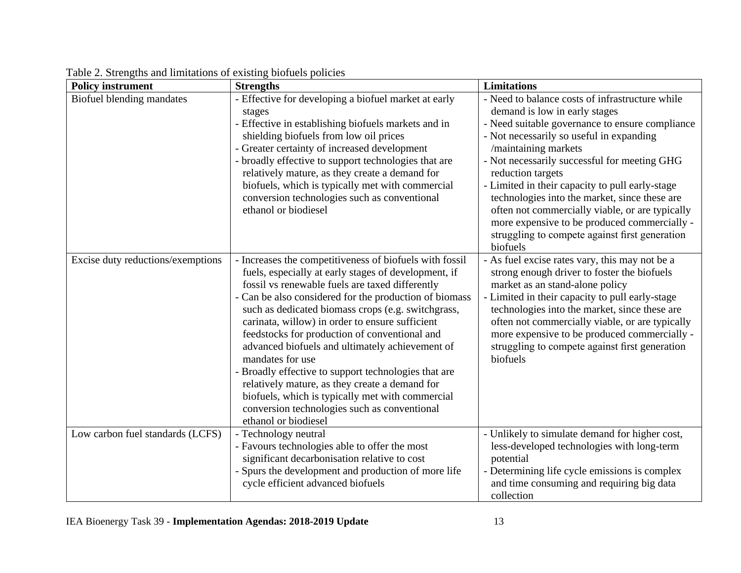| <b>Policy instrument</b>          | <b>Strengths</b>                                                                                             | <b>Limitations</b>                                                                               |
|-----------------------------------|--------------------------------------------------------------------------------------------------------------|--------------------------------------------------------------------------------------------------|
| Biofuel blending mandates         | - Effective for developing a biofuel market at early                                                         | - Need to balance costs of infrastructure while                                                  |
|                                   | stages                                                                                                       | demand is low in early stages                                                                    |
|                                   | - Effective in establishing biofuels markets and in                                                          | - Need suitable governance to ensure compliance                                                  |
|                                   | shielding biofuels from low oil prices                                                                       | - Not necessarily so useful in expanding                                                         |
|                                   | - Greater certainty of increased development<br>- broadly effective to support technologies that are         | /maintaining markets<br>- Not necessarily successful for meeting GHG                             |
|                                   | relatively mature, as they create a demand for                                                               | reduction targets                                                                                |
|                                   | biofuels, which is typically met with commercial                                                             | - Limited in their capacity to pull early-stage                                                  |
|                                   | conversion technologies such as conventional                                                                 | technologies into the market, since these are                                                    |
|                                   | ethanol or biodiesel                                                                                         | often not commercially viable, or are typically                                                  |
|                                   |                                                                                                              | more expensive to be produced commercially -                                                     |
|                                   |                                                                                                              | struggling to compete against first generation                                                   |
|                                   |                                                                                                              | biofuels                                                                                         |
| Excise duty reductions/exemptions | - Increases the competitiveness of biofuels with fossil                                                      | - As fuel excise rates vary, this may not be a                                                   |
|                                   | fuels, especially at early stages of development, if                                                         | strong enough driver to foster the biofuels                                                      |
|                                   | fossil vs renewable fuels are taxed differently                                                              | market as an stand-alone policy                                                                  |
|                                   | - Can be also considered for the production of biomass<br>such as dedicated biomass crops (e.g. switchgrass, | - Limited in their capacity to pull early-stage<br>technologies into the market, since these are |
|                                   | carinata, willow) in order to ensure sufficient                                                              | often not commercially viable, or are typically                                                  |
|                                   | feedstocks for production of conventional and                                                                | more expensive to be produced commercially -                                                     |
|                                   | advanced biofuels and ultimately achievement of                                                              | struggling to compete against first generation                                                   |
|                                   | mandates for use                                                                                             | biofuels                                                                                         |
|                                   | - Broadly effective to support technologies that are                                                         |                                                                                                  |
|                                   | relatively mature, as they create a demand for                                                               |                                                                                                  |
|                                   | biofuels, which is typically met with commercial                                                             |                                                                                                  |
|                                   | conversion technologies such as conventional<br>ethanol or biodiesel                                         |                                                                                                  |
| Low carbon fuel standards (LCFS)  | - Technology neutral                                                                                         | - Unlikely to simulate demand for higher cost,                                                   |
|                                   | - Favours technologies able to offer the most                                                                | less-developed technologies with long-term                                                       |
|                                   | significant decarbonisation relative to cost                                                                 | potential                                                                                        |
|                                   | - Spurs the development and production of more life                                                          | - Determining life cycle emissions is complex                                                    |
|                                   | cycle efficient advanced biofuels                                                                            | and time consuming and requiring big data                                                        |
|                                   |                                                                                                              | collection                                                                                       |

Table 2. Strengths and limitations of existing biofuels policies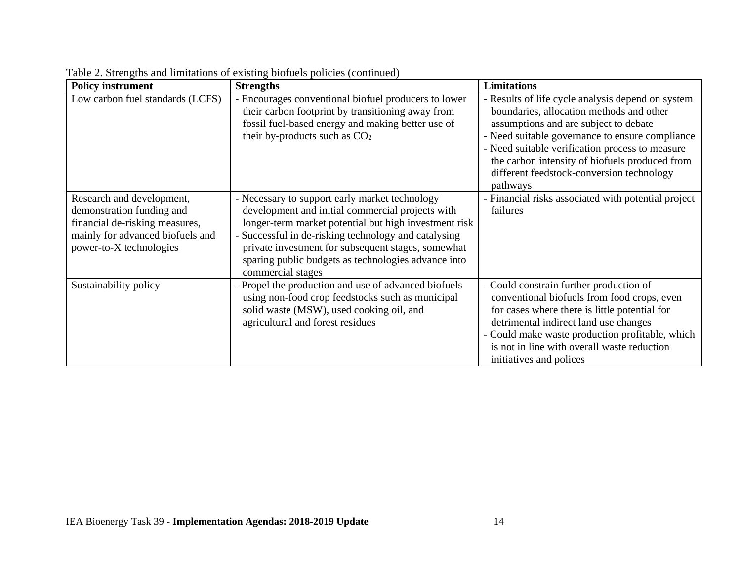| <b>Policy instrument</b>                                                                                                                                | <b>Strengths</b>                                                                                                                                                                                                                                                                                                                                      | <b>Limitations</b>                                                                                                                                                                                                                                                                                                                                      |
|---------------------------------------------------------------------------------------------------------------------------------------------------------|-------------------------------------------------------------------------------------------------------------------------------------------------------------------------------------------------------------------------------------------------------------------------------------------------------------------------------------------------------|---------------------------------------------------------------------------------------------------------------------------------------------------------------------------------------------------------------------------------------------------------------------------------------------------------------------------------------------------------|
| Low carbon fuel standards (LCFS)                                                                                                                        | - Encourages conventional biofuel producers to lower<br>their carbon footprint by transitioning away from<br>fossil fuel-based energy and making better use of<br>their by-products such as CO <sub>2</sub>                                                                                                                                           | - Results of life cycle analysis depend on system<br>boundaries, allocation methods and other<br>assumptions and are subject to debate<br>- Need suitable governance to ensure compliance<br>- Need suitable verification process to measure<br>the carbon intensity of biofuels produced from<br>different feedstock-conversion technology<br>pathways |
| Research and development,<br>demonstration funding and<br>financial de-risking measures,<br>mainly for advanced biofuels and<br>power-to-X technologies | - Necessary to support early market technology<br>development and initial commercial projects with<br>longer-term market potential but high investment risk<br>- Successful in de-risking technology and catalysing<br>private investment for subsequent stages, somewhat<br>sparing public budgets as technologies advance into<br>commercial stages | - Financial risks associated with potential project<br>failures                                                                                                                                                                                                                                                                                         |
| Sustainability policy                                                                                                                                   | - Propel the production and use of advanced biofuels<br>using non-food crop feedstocks such as municipal<br>solid waste (MSW), used cooking oil, and<br>agricultural and forest residues                                                                                                                                                              | - Could constrain further production of<br>conventional biofuels from food crops, even<br>for cases where there is little potential for<br>detrimental indirect land use changes<br>- Could make waste production profitable, which<br>is not in line with overall waste reduction<br>initiatives and polices                                           |

Table 2. Strengths and limitations of existing biofuels policies (continued)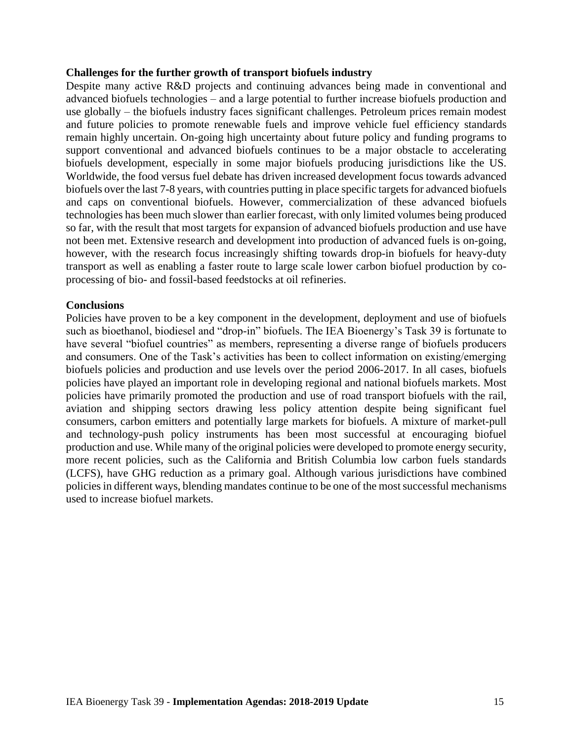#### **Challenges for the further growth of transport biofuels industry**

Despite many active R&D projects and continuing advances being made in conventional and advanced biofuels technologies – and a large potential to further increase biofuels production and use globally – the biofuels industry faces significant challenges. Petroleum prices remain modest and future policies to promote renewable fuels and improve vehicle fuel efficiency standards remain highly uncertain. On-going high uncertainty about future policy and funding programs to support conventional and advanced biofuels continues to be a major obstacle to accelerating biofuels development, especially in some major biofuels producing jurisdictions like the US. Worldwide, the food versus fuel debate has driven increased development focus towards advanced biofuels over the last 7-8 years, with countries putting in place specific targets for advanced biofuels and caps on conventional biofuels. However, commercialization of these advanced biofuels technologies has been much slower than earlier forecast, with only limited volumes being produced so far, with the result that most targets for expansion of advanced biofuels production and use have not been met. Extensive research and development into production of advanced fuels is on-going, however, with the research focus increasingly shifting towards drop-in biofuels for heavy-duty transport as well as enabling a faster route to large scale lower carbon biofuel production by coprocessing of bio- and fossil-based feedstocks at oil refineries.

#### **Conclusions**

Policies have proven to be a key component in the development, deployment and use of biofuels such as bioethanol, biodiesel and "drop-in" biofuels. The IEA Bioenergy's Task 39 is fortunate to have several "biofuel countries" as members, representing a diverse range of biofuels producers and consumers. One of the Task's activities has been to collect information on existing/emerging biofuels policies and production and use levels over the period 2006-2017. In all cases, biofuels policies have played an important role in developing regional and national biofuels markets. Most policies have primarily promoted the production and use of road transport biofuels with the rail, aviation and shipping sectors drawing less policy attention despite being significant fuel consumers, carbon emitters and potentially large markets for biofuels. A mixture of market-pull and technology-push policy instruments has been most successful at encouraging biofuel production and use. While many of the original policies were developed to promote energy security, more recent policies, such as the California and British Columbia low carbon fuels standards (LCFS), have GHG reduction as a primary goal. Although various jurisdictions have combined policies in different ways, blending mandates continue to be one of the most successful mechanisms used to increase biofuel markets.